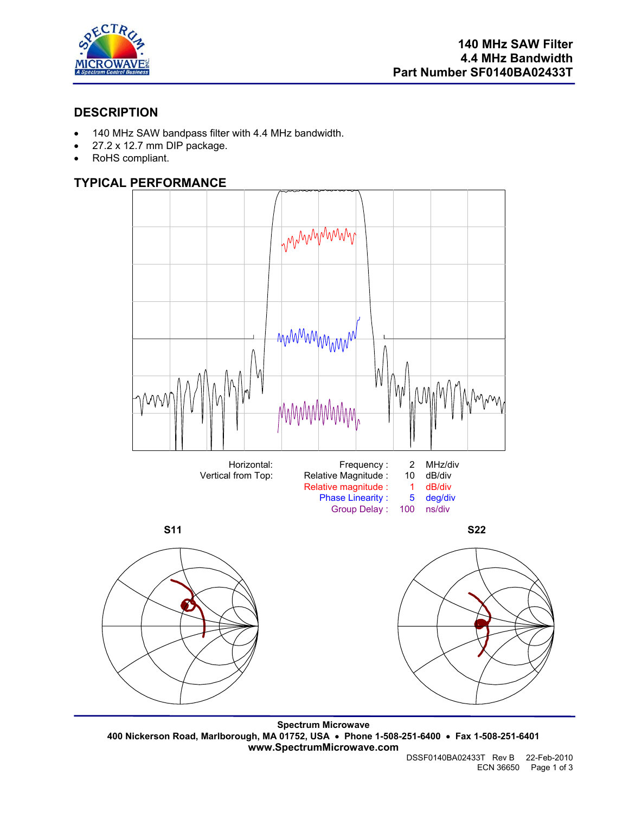

## **DESCRIPTION**

- 140 MHz SAW bandpass filter with 4.4 MHz bandwidth.
- 27.2 x 12.7 mm DIP package.
- RoHS compliant.

# **TYPICAL PERFORMANCE**



**Spectrum Microwave 400 Nickerson Road, Marlborough, MA 01752, USA** • **Phone 1-508-251-6400** • **Fax 1-508-251-6401 www.SpectrumMicrowave.com**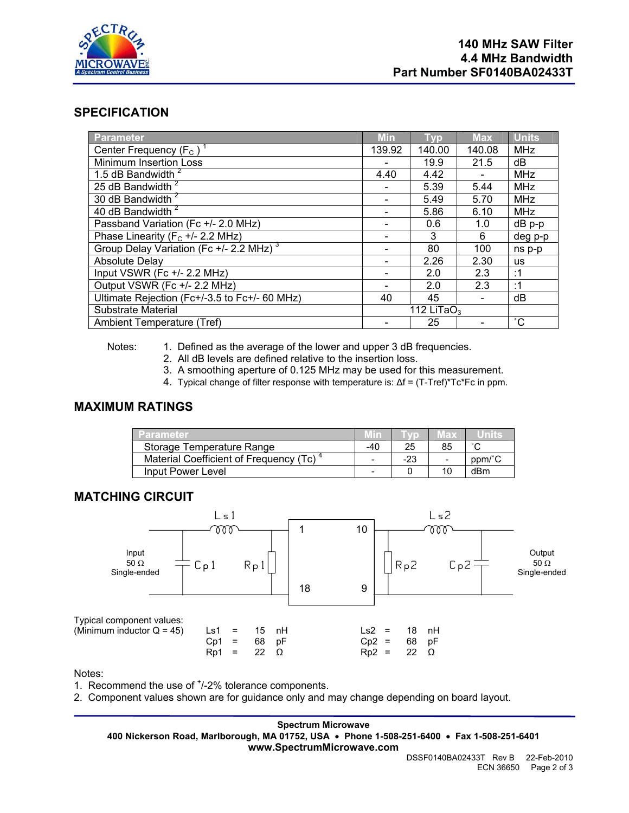

## **SPECIFICATION**

| Parameter                                           | <b>Min</b>     | Typ    | <b>Max</b> | <b>Units</b> |
|-----------------------------------------------------|----------------|--------|------------|--------------|
| Center Frequency $(F_C)^T$                          | 139.92         | 140.00 | 140.08     | <b>MHz</b>   |
| Minimum Insertion Loss                              |                | 19.9   | 21.5       | dB           |
| 1.5 dB Bandwidth <sup>2</sup>                       | 4.40           | 4.42   |            | <b>MHz</b>   |
| 25 dB Bandwidth <sup>2</sup>                        |                | 5.39   | 5.44       | <b>MHz</b>   |
| 30 dB Bandwidth <sup>2</sup>                        |                | 5.49   | 5.70       | <b>MHz</b>   |
| 40 dB Bandwidth <sup>2</sup>                        |                | 5.86   | 6.10       | <b>MHz</b>   |
| Passband Variation (Fc +/- 2.0 MHz)                 |                | 0.6    | 1.0        | dB p-p       |
| Phase Linearity ( $F_c$ +/- 2.2 MHz)                |                | 3      | 6          | deg p-p      |
| Group Delay Variation (Fc +/- 2.2 MHz) <sup>3</sup> |                | 80     | 100        | ns p-p       |
| <b>Absolute Delay</b>                               |                | 2.26   | 2.30       | us           |
| Input VSWR (Fc +/- 2.2 MHz)                         |                | 2.0    | 2.3        | :1           |
| Output VSWR (Fc +/- 2.2 MHz)                        |                | 2.0    | 2.3        | :1           |
| Ultimate Rejection (Fc+/-3.5 to Fc+/- 60 MHz)       | 40             | 45     |            | dB           |
| Substrate Material                                  | 112 LiTa $O_3$ |        |            |              |
| Ambient Temperature (Tref)                          |                | 25     |            | $^{\circ}C$  |

Notes: 1. Defined as the average of the lower and upper 3 dB frequencies.

- 2. All dB levels are defined relative to the insertion loss.
- 3. A smoothing aperture of 0.125 MHz may be used for this measurement.
- 4. Typical change of filter response with temperature is: ∆f = (T-Tref)\*Tc\*Fc in ppm.

## **MAXIMUM RATINGS**

| Parameter                              |       |     | мах |        |
|----------------------------------------|-------|-----|-----|--------|
| Storage Temperature Range              | $-40$ |     | 85  | $\sim$ |
| Material Coefficient of Frequency (Tc) |       | -23 |     | ppm/°C |
| Input Power Level                      |       |     |     | dBm    |

### **MATCHING CIRCUIT**



Notes:

1. Recommend the use of  $<sup>+</sup>/-2%$  tolerance components.</sup>

2. Component values shown are for guidance only and may change depending on board layout.

**Spectrum Microwave 400 Nickerson Road, Marlborough, MA 01752, USA** • **Phone 1-508-251-6400** • **Fax 1-508-251-6401 www.SpectrumMicrowave.com**